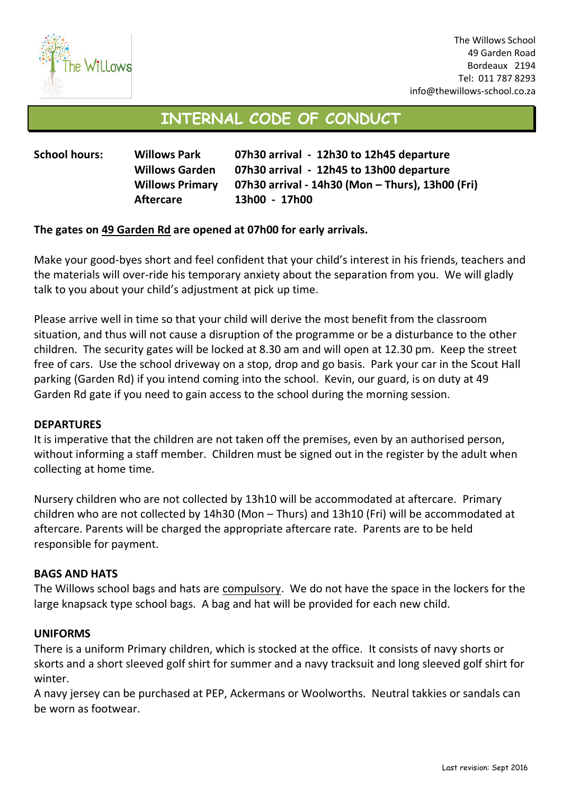

# **INTERNAL CODE OF CONDUCT**

| <b>School hours:</b> | <b>Willows Park</b>    | 07h30 arrival - 12h30 to 12h45 departure         |
|----------------------|------------------------|--------------------------------------------------|
|                      | <b>Willows Garden</b>  | 07h30 arrival - 12h45 to 13h00 departure         |
|                      | <b>Willows Primary</b> | 07h30 arrival - 14h30 (Mon - Thurs), 13h00 (Fri) |
|                      | <b>Aftercare</b>       | 13h00 - 17h00                                    |

# **The gates on 49 Garden Rd are opened at 07h00 for early arrivals.**

Make your good-byes short and feel confident that your child's interest in his friends, teachers and the materials will over-ride his temporary anxiety about the separation from you. We will gladly talk to you about your child's adjustment at pick up time.

Please arrive well in time so that your child will derive the most benefit from the classroom situation, and thus will not cause a disruption of the programme or be a disturbance to the other children. The security gates will be locked at 8.30 am and will open at 12.30 pm. Keep the street free of cars. Use the school driveway on a stop, drop and go basis. Park your car in the Scout Hall parking (Garden Rd) if you intend coming into the school. Kevin, our guard, is on duty at 49 Garden Rd gate if you need to gain access to the school during the morning session.

# **DEPARTURES**

It is imperative that the children are not taken off the premises, even by an authorised person, without informing a staff member. Children must be signed out in the register by the adult when collecting at home time.

Nursery children who are not collected by 13h10 will be accommodated at aftercare. Primary children who are not collected by 14h30 (Mon – Thurs) and 13h10 (Fri) will be accommodated at aftercare. Parents will be charged the appropriate aftercare rate. Parents are to be held responsible for payment.

# **BAGS AND HATS**

The Willows school bags and hats are compulsory. We do not have the space in the lockers for the large knapsack type school bags. A bag and hat will be provided for each new child.

# **UNIFORMS**

There is a uniform Primary children, which is stocked at the office. It consists of navy shorts or skorts and a short sleeved golf shirt for summer and a navy tracksuit and long sleeved golf shirt for winter.

A navy jersey can be purchased at PEP, Ackermans or Woolworths. Neutral takkies or sandals can be worn as footwear.